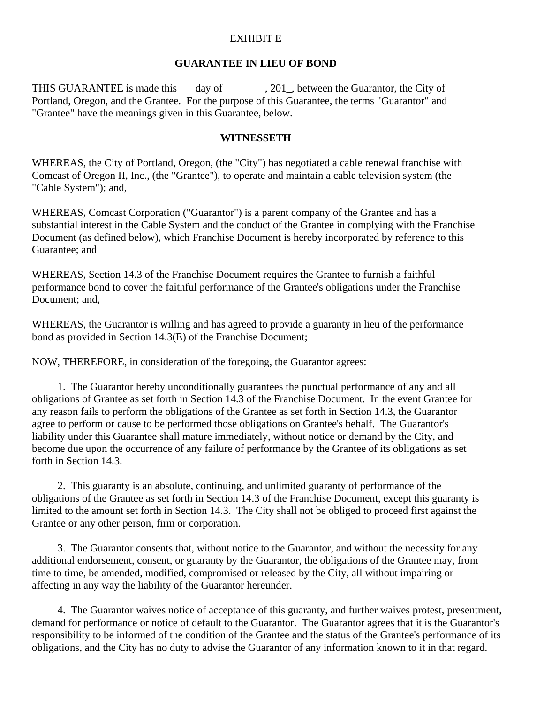## EXHIBIT E

## **GUARANTEE IN LIEU OF BOND**

THIS GUARANTEE is made this  $\_\_\_$  day of  $\_\_\_\_$ , 201, between the Guarantor, the City of Portland, Oregon, and the Grantee. For the purpose of this Guarantee, the terms "Guarantor" and "Grantee" have the meanings given in this Guarantee, below.

## **WITNESSETH**

WHEREAS, the City of Portland, Oregon, (the "City") has negotiated a cable renewal franchise with Comcast of Oregon II, Inc., (the "Grantee"), to operate and maintain a cable television system (the "Cable System"); and,

WHEREAS, Comcast Corporation ("Guarantor") is a parent company of the Grantee and has a substantial interest in the Cable System and the conduct of the Grantee in complying with the Franchise Document (as defined below), which Franchise Document is hereby incorporated by reference to this Guarantee; and

WHEREAS, Section 14.3 of the Franchise Document requires the Grantee to furnish a faithful performance bond to cover the faithful performance of the Grantee's obligations under the Franchise Document; and,

WHEREAS, the Guarantor is willing and has agreed to provide a guaranty in lieu of the performance bond as provided in Section 14.3(E) of the Franchise Document;

NOW, THEREFORE, in consideration of the foregoing, the Guarantor agrees:

1. The Guarantor hereby unconditionally guarantees the punctual performance of any and all obligations of Grantee as set forth in Section 14.3 of the Franchise Document. In the event Grantee for any reason fails to perform the obligations of the Grantee as set forth in Section 14.3, the Guarantor agree to perform or cause to be performed those obligations on Grantee's behalf. The Guarantor's liability under this Guarantee shall mature immediately, without notice or demand by the City, and become due upon the occurrence of any failure of performance by the Grantee of its obligations as set forth in Section 14.3.

2. This guaranty is an absolute, continuing, and unlimited guaranty of performance of the obligations of the Grantee as set forth in Section 14.3 of the Franchise Document, except this guaranty is limited to the amount set forth in Section 14.3. The City shall not be obliged to proceed first against the Grantee or any other person, firm or corporation.

3. The Guarantor consents that, without notice to the Guarantor, and without the necessity for any additional endorsement, consent, or guaranty by the Guarantor, the obligations of the Grantee may, from time to time, be amended, modified, compromised or released by the City, all without impairing or affecting in any way the liability of the Guarantor hereunder.

4. The Guarantor waives notice of acceptance of this guaranty, and further waives protest, presentment, demand for performance or notice of default to the Guarantor. The Guarantor agrees that it is the Guarantor's responsibility to be informed of the condition of the Grantee and the status of the Grantee's performance of its obligations, and the City has no duty to advise the Guarantor of any information known to it in that regard.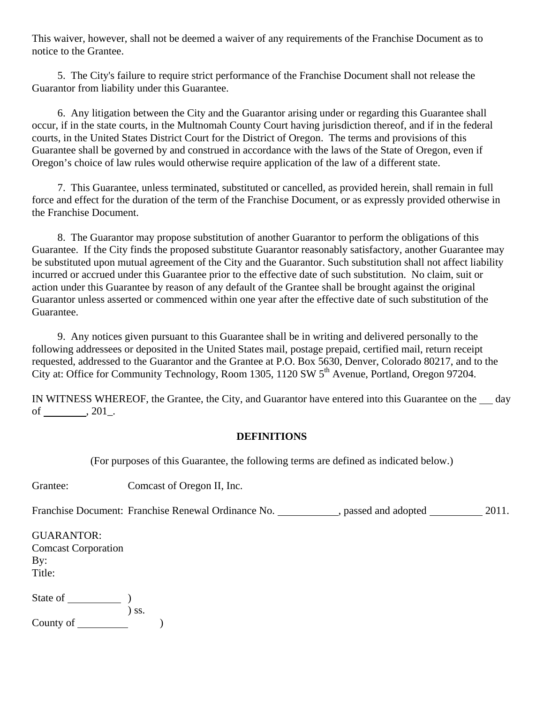This waiver, however, shall not be deemed a waiver of any requirements of the Franchise Document as to notice to the Grantee.

5. The City's failure to require strict performance of the Franchise Document shall not release the Guarantor from liability under this Guarantee.

6. Any litigation between the City and the Guarantor arising under or regarding this Guarantee shall occur, if in the state courts, in the Multnomah County Court having jurisdiction thereof, and if in the federal courts, in the United States District Court for the District of Oregon. The terms and provisions of this Guarantee shall be governed by and construed in accordance with the laws of the State of Oregon, even if Oregon's choice of law rules would otherwise require application of the law of a different state.

7. This Guarantee, unless terminated, substituted or cancelled, as provided herein, shall remain in full force and effect for the duration of the term of the Franchise Document, or as expressly provided otherwise in the Franchise Document.

8. The Guarantor may propose substitution of another Guarantor to perform the obligations of this Guarantee. If the City finds the proposed substitute Guarantor reasonably satisfactory, another Guarantee may be substituted upon mutual agreement of the City and the Guarantor. Such substitution shall not affect liability incurred or accrued under this Guarantee prior to the effective date of such substitution. No claim, suit or action under this Guarantee by reason of any default of the Grantee shall be brought against the original Guarantor unless asserted or commenced within one year after the effective date of such substitution of the Guarantee.

9. Any notices given pursuant to this Guarantee shall be in writing and delivered personally to the following addressees or deposited in the United States mail, postage prepaid, certified mail, return receipt requested, addressed to the Guarantor and the Grantee at P.O. Box 5630, Denver, Colorado 80217, and to the City at: Office for Community Technology, Room 1305, 1120 SW 5<sup>th</sup> Avenue, Portland, Oregon 97204.

IN WITNESS WHEREOF, the Grantee, the City, and Guarantor have entered into this Guarantee on the  $\rule{1em}{0.15mm}$  day of , 201\_.

## **DEFINITIONS**

(For purposes of this Guarantee, the following terms are defined as indicated below.)

Grantee: Comcast of Oregon II, Inc.

Franchise Document: Franchise Renewal Ordinance No. \_\_\_\_\_\_\_\_\_\_\_, passed and adopted \_\_\_\_\_\_\_\_\_\_\_\_ 2011.

| <b>GUARANTOR:</b>          |
|----------------------------|
| <b>Comcast Corporation</b> |
| By:                        |
| Title:                     |
|                            |

| State of  |         |
|-----------|---------|
|           | $)$ SS. |
| County of |         |